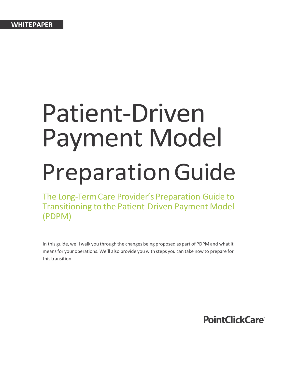# Patient-Driven Payment Model **Preparation Guide**

The Long-Term Care Provider's Preparation Guide to Transitioning to the Patient-Driven Payment Model (PDPM)

In this guide, we'll walk you through the changes being proposed as part of PDPM and what it means for your operations. We'll also provide you with steps you can take now to prepare for this transition.

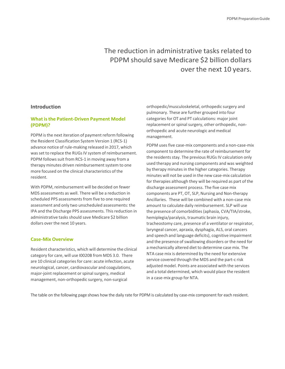# The reduction in administrative tasks related to PDPM should save Medicare \$2 billion dollars over the next 10 years.

#### **Introduction**

## **What is the Patient-Driven Payment Model (PDPM)?**

PDPM is the next iteration of payment reform following the Resident Classification System Version 1 (RCS-1) advance notice of rule-making released in 2017, which was set to replace the RUGs IV system of reimbursement. PDPM follows suit from RCS-1 in moving away from a therapy minutes driven reimbursement system to one more focused on the clinical characteristics of the resident.

With PDPM, reimbursement will be decided on fewer MDS assessments as well. There will be a reduction in scheduled PPS assessments from five to one required assessment and only two unscheduled assessments: the IPA and the Discharge PPS assessments. This reduction in administrative tasks should save Medicare \$2 billion dollars over the next 10 years.

#### **Case-Mix Overview**

Resident characteristics, which will determine the clinical category for care, will use I0020B from MDS 3.0. There are 10 clinical categories for care: acute infection, acute neurological, cancer, cardiovascular and coagulations, major-joint replacement or spinal surgery, medical management, non-orthopedic surgery, non-surgical

orthopedic/musculoskeletal, orthopedic surgery and pulmonary. These are further grouped into four categories for OT and PT calculations: major joint replacement or spinal surgery, other orthopedic, nonorthopedic and acute neurologic and medical management.

PDPM uses five case-mix components and a non-case-mix component to determine the rate of reimbursement for the residents stay. The previous RUGs IV calculation only used therapy and nursing components and was weighted by therapy minutes in the higher categories. Therapy minutes will not be used in the new case-mix calculation for therapies although they will be required as part of the discharge assessment process. The five case mix components are PT, OT, SLP, Nursing and Non-therapy Ancillaries. These will be combined with a non-case mix amount to calculate daily reimbursement. SLP will use the presence of comorbidities (aphasia, CVA/TIA/stroke, hemiplegia/paralysis, traumatic brain injury, tracheostomy care, presence of a ventilator or respirator, laryngeal cancer, apraxia, dysphagia, ALS, oral cancers and speech and language deficits), cognitive impairment and the presence of swallowing disorders or the need for a mechanically altered diet to determine case mix. The NTA case mix is determined by the need for extensive service covered through the MDS and the part-c risk adjusted model. Points are associated with the services and a total determined, which would place the resident in a case-mix group for NTA.

The table on the following page shows how the daily rate for PDPM is calculated by case-mix component for each resident.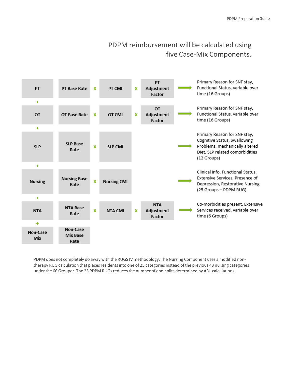# PDPM reimbursement will be calculated using five Case-Mix Components.



PDPM does not completely do away with the RUGS IV methodology. The Nursing Component uses a modified nontherapy RUG calculation that places residents into one of 25 categories instead of the previous 43 nursing categories under the 66 Grouper. The 25 PDPM RUGs reduces the number of end-splits determined by ADL calculations.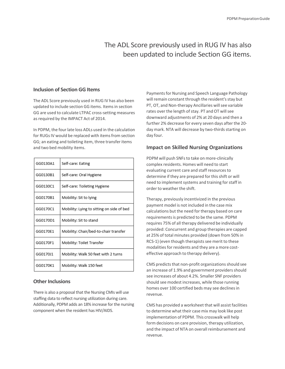# The ADL Score previously used in RUG IV has also been updated to include Section GG items.

## **Inclusion of Section GG Items**

The ADL Score previously used in RUG IV has also been updated to include section GG items. Items in section GG are used to calculate LTPAC cross-setting measures as required by the IMPACT Act of 2014.

In PDPM, the four late loss ADLs used in the calculation for RUGs IV would be replaced with items from section GG; an eating and toileting item, three transfer items and two bed mobility items.

| GG0130A1 | Self-care: Eating                         |  |
|----------|-------------------------------------------|--|
| GG0130B1 | Self-care: Oral Hygiene                   |  |
| GG0130C1 | Self-care: Toileting Hygiene              |  |
| GG0170B1 | Mobility: Sit to lying                    |  |
| GG0170C1 | Mobility: Lying to sitting on side of bed |  |
| GG0170D1 | Mobility: Sit to stand                    |  |
| GG0170E1 | Mobility: Chair/bed-to-chair transfer     |  |
| GG0170F1 | Mobility: Toilet Transfer                 |  |
| GG0170J1 | Mobility: Walk 50 feet with 2 turns       |  |
| GG0170K1 | Mobility: Walk 150 feet                   |  |

### **Other Inclusions**

There is also a proposal that the Nursing CMIs will use staffing data to reflect nursing utilization during care. Additionally, PDPM adds an 18% increase for the nursing component when the resident has HIV/AIDS.

Payments for Nursing and Speech Language Pathology will remain constant through the resident's stay but PT, OT, and Non-therapy Ancillaries will see variable rates over the length of stay. PT and OT will see downward adjustments of 2% at 20 days and then a further 2% decrease for every seven days after the 20 day mark. NTA will decrease by two-thirds starting on day four.

## **Impact on Skilled Nursing Organizations**

PDPM will push SNFs to take on more-clinically complex residents. Homes will need to start evaluating current care and staff resources to determine if they are prepared for this shift or will need to implement systems and training for staff in order to weather the shift.

Therapy, previously incentivized in the previous payment model is not included in the case mix calculations but the need for therapy based on care requirements is predicted to be the same. PDPM requires 75% of all therapy delivered be individually provided: Concurrent and group therapies are capped at 25% of total minutes provided (down from 50% in RCS-1) (even though therapists see merit to these modalities for residents and they are a more costeffective approach to therapy delivery).

CMS predicts that non-profit organizations should see an increase of 1.9% and government providers should see increases of about 4.2%. Smaller SNF providers should see modest increases, while those running homes over 100 certified beds may see declines in revenue.

CMS has provided a worksheet that will assist facilities to determine what their case mix may look like post implementation of PDPM. This crosswalk will help form decisions on care provision, therapy utilization, and the impact of NTA on overall reimbursement and revenue.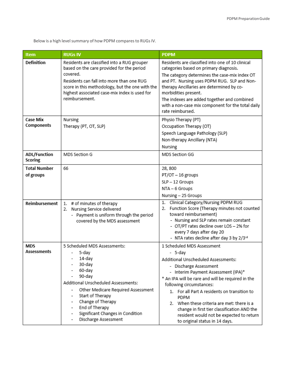Below is a high level summary of how PDPM compares to RUGs IV.

| Item                                              | <b>RUGs IV</b>                                                                                                                                                                                                                                                                                                     | <b>PDPM</b>                                                                                                                                                                                                                                                                                                                                                                             |
|---------------------------------------------------|--------------------------------------------------------------------------------------------------------------------------------------------------------------------------------------------------------------------------------------------------------------------------------------------------------------------|-----------------------------------------------------------------------------------------------------------------------------------------------------------------------------------------------------------------------------------------------------------------------------------------------------------------------------------------------------------------------------------------|
| <b>Definition</b>                                 | Residents are classified into a RUG grouper<br>based on the care provided for the period<br>covered.<br>Residents can fall into more than one RUG<br>score in this methodology, but the one with the<br>highest associated case-mix index is used for<br>reimbursement.                                            | Residents are classified into one of 10 clinical<br>categories based on primary diagnosis.<br>The category determines the case-mix index OT<br>and PT. Nursing uses PDPM RUG. SLP and Non-<br>therapy Ancillaries are determined by co-<br>morbidities present.<br>The indexes are added together and combined<br>with a non-case mix component for the total daily<br>rate reimbursed. |
| <b>Case Mix</b><br>Components                     | Nursing<br>Therapy (PT, OT, SLP)                                                                                                                                                                                                                                                                                   | Physio Therapy (PT)<br>Occupation Therapy (OT)<br>Speech Language Pathology (SLP)<br>Non-therapy Ancillary (NTA)<br>Nursing                                                                                                                                                                                                                                                             |
| <b>ADL/Function</b><br>Scoring                    | MDS Section G                                                                                                                                                                                                                                                                                                      | <b>MDS Section GG</b>                                                                                                                                                                                                                                                                                                                                                                   |
| <b>Total Number</b><br>of groups<br>Reimbursement | 66<br>1. # of minutes of therapy<br>2. Nursing Service delivered<br>- Payment is uniform through the period<br>covered by the MDS assessment                                                                                                                                                                       | 28,800<br>PT/OT - 16 groups<br>SLP-12 Groups<br>NTA - 6 Groups<br>Nursing - 25 Groups<br>Clinical Category/Nursing PDPM RUG<br>1.<br>2. Function Score (Therapy minutes not counted<br>toward reimbursement)<br>- Nursing and SLP rates remain constant<br>- OT/PT rates decline over LOS - 2% for                                                                                      |
| <b>MDS</b><br><b>Assessments</b>                  | 5 Scheduled MDS Assessments:<br>5-day<br>14-day                                                                                                                                                                                                                                                                    | every 7 days after day 20<br>- NTA rates decline after day 3 by 2/3rd<br>1 Scheduled MDS Assessment<br>- 5-day<br>Additional Unscheduled Assessments:                                                                                                                                                                                                                                   |
|                                                   | 30-day<br>60-day<br>90-day<br>Additional Unscheduled Assessments:<br>Other Medicare Required Assessment<br>Start of Therapy<br>$\overline{\phantom{a}}$<br>Change of Therapy<br>$\overline{\phantom{a}}$<br>End of Therapy<br>$\overline{\phantom{a}}$<br>Significant Changes in Condition<br>Discharge Assessment | - Discharge Assessment<br>- Interim Payment Assessment (IPA)*<br>* An IPA will be rare and will be required in the<br>following circumstances:<br>1. For all Part A residents on transition to<br>PDPM<br>2. When these criteria are met: there is a<br>change in first tier classification AND the<br>resident would not be expected to return<br>to original status in 14 days.       |